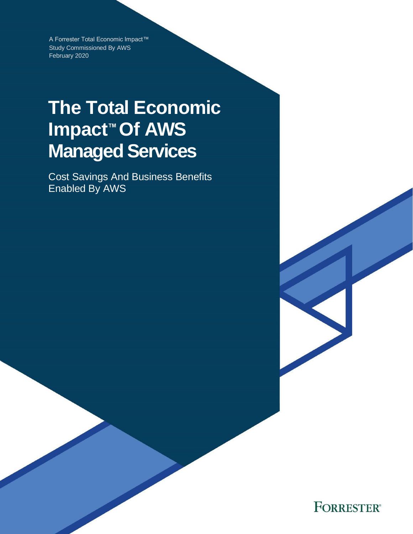A Forrester Total Economic Impact™ Study Commissioned By AWS February 2020

# **The Total Economic Impact™ Of AWS Managed Services**

Cost Savings And Business Benefits Enabled By AWS

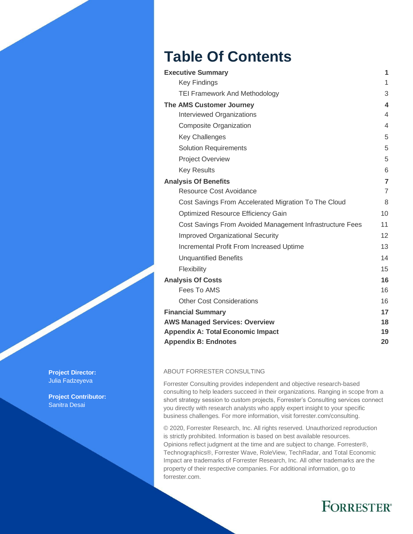# **Table Of Contents**

| <b>Executive Summary</b>                                 | 1                       |
|----------------------------------------------------------|-------------------------|
| <b>Key Findings</b>                                      | 1                       |
| <b>TEI Framework And Methodology</b>                     | 3                       |
| The AMS Customer Journey                                 | $\overline{\mathbf{4}}$ |
| Interviewed Organizations                                | 4                       |
| <b>Composite Organization</b>                            | $\overline{4}$          |
| <b>Key Challenges</b>                                    | 5                       |
| <b>Solution Requirements</b>                             | 5                       |
| <b>Project Overview</b>                                  | 5                       |
| <b>Key Results</b>                                       | 6                       |
| <b>Analysis Of Benefits</b>                              | 7                       |
| Resource Cost Avoidance                                  | $\overline{7}$          |
| Cost Savings From Accelerated Migration To The Cloud     | 8                       |
| Optimized Resource Efficiency Gain                       | 10 <sup>1</sup>         |
| Cost Savings From Avoided Management Infrastructure Fees | 11                      |
| <b>Improved Organizational Security</b>                  | 12                      |
| Incremental Profit From Increased Uptime                 | 13                      |
| <b>Unquantified Benefits</b>                             | 14                      |
| Flexibility                                              | 15                      |
| <b>Analysis Of Costs</b>                                 | 16                      |
| Fees To AMS                                              | 16                      |
| <b>Other Cost Considerations</b>                         | 16                      |
| <b>Financial Summary</b>                                 | 17                      |
| <b>AWS Managed Services: Overview</b>                    | 18                      |
| <b>Appendix A: Total Economic Impact</b>                 | 19                      |
| <b>Appendix B: Endnotes</b>                              | 20                      |

#### ABOUT FORRESTER CONSULTING

Forrester Consulting provides independent and objective research-based consulting to help leaders succeed in their organizations. Ranging in scope from a short strategy session to custom projects, Forrester's Consulting services connect you directly with research analysts who apply expert insight to your specific business challenges. For more information, visit forrester.com/consulting.

© 2020, Forrester Research, Inc. All rights reserved. Unauthorized reproduction is strictly prohibited. Information is based on best available resources. Opinions reflect judgment at the time and are subject to change. Forrester®, Technographics®, Forrester Wave, RoleView, TechRadar, and Total Economic Impact are trademarks of Forrester Research, Inc. All other trademarks are the property of their respective companies. For additional information, go to forrester.com.

# **FORRESTER®**

**Project Director:** Julia Fadzeyeva

**Project Contributor:** Sanitra Desai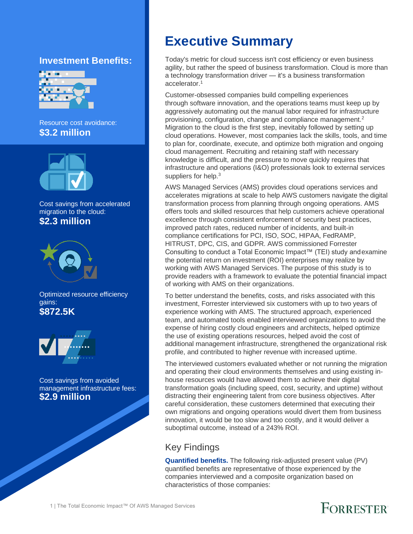#### **Investment Benefits:**



Resource cost avoidance: **\$3.2 million**



Cost savings from accelerated migration to the cloud:

#### **\$2.3 million**



Optimized resource efficiency gains: **\$872.5K**



<span id="page-2-1"></span>Cost savings from avoided management infrastructure fees: **\$2.9 million**

## <span id="page-2-0"></span>**Executive Summary**

Today's metric for cloud success isn't cost efficiency or even business agility, but rather the speed of business transformation. Cloud is more than a technology transformation driver — it's a business transformation accelerator<sup>1</sup>

Customer-obsessed companies build compelling experiences through software innovation, and the operations teams must keep up by aggressively automating out the manual labor required for infrastructure provisioning, configuration, change and compliance management.<sup>2</sup> Migration to the cloud is the first step, inevitably followed by setting up cloud operations. However, most companies lack the skills, tools, and time to plan for, coordinate, execute, and optimize both migration and ongoing cloud management. Recruiting and retaining staff with necessary knowledge is difficult, and the pressure to move quickly requires that infrastructure and operations (I&O) professionals look to external services suppliers for help.<sup>3</sup>

AWS Managed Services (AMS) provides cloud operations services and accelerates migrations at scale to help AWS customers navigate the digital transformation process from planning through ongoing operations. AMS offers tools and skilled resources that help customers achieve operational excellence through consistent enforcement of security best practices, improved patch rates, reduced number of incidents, and built-in compliance certifications for PCI, ISO, SOC, HIPAA, FedRAMP, HITRUST, DPC, CIS, and GDPR. AWS commissioned Forrester Consulting to conduct a Total Economic Impact™ (TEI) study andexamine the potential return on investment (ROI) enterprises may realize by working with AWS Managed Services. The purpose of this study is to provide readers with a framework to evaluate the potential financial impact of working with AMS on their organizations.

To better understand the benefits, costs, and risks associated with this investment, Forrester interviewed six customers with up to two years of experience working with AMS. The structured approach, experienced team, and automated tools enabled interviewed organizations to avoid the expense of hiring costly cloud engineers and architects, helped optimize the use of existing operations resources, helped avoid the cost of additional management infrastructure, strengthened the organizational risk profile, and contributed to higher revenue with increased uptime.

The interviewed customers evaluated whether or not running the migration and operating their cloud environments themselves and using existing inhouse resources would have allowed them to achieve their digital transformation goals (including speed, cost, security, and uptime) without distracting their engineering talent from core business objectives. After careful consideration, these customers determined that executing their own migrations and ongoing operations would divert them from business innovation, it would be too slow and too costly, and it would deliver a suboptimal outcome, instead of a 243% ROI.

## Key Findings

**Quantified benefits.** The following risk-adjusted present value (PV) quantified benefits are representative of those experienced by the companies interviewed and a composite organization based on characteristics of those companies:

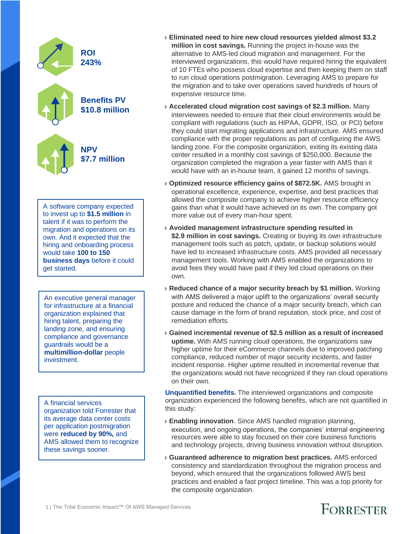

A software company expected to invest up to **\$1.5 million** in talent if it was to perform the migration and operations on its own. And it expected that the hiring and onboarding process would take **100 to 150 business days** before it could get started.

An executive general manager for infrastructure at a financial organization explained that hiring talent, preparing the landing zone, and ensuring compliance and governance guardrails would be a **multimillion-dollar** people investment.

A financial services organization told Forrester that its average data center costs per application postmigration were **reduced by 90%,** and AMS allowed them to recognize these savings sooner.

- › **Eliminated need to hire new cloud resources yielded almost \$3.2 million in cost savings.** Running the project in-house was the alternative to AMS-led cloud migration and management. For the interviewed organizations, this would have required hiring the equivalent of 10 FTEs who possess cloud expertise and then keeping them on staff to run cloud operations postmigration. Leveraging AMS to prepare for the migration and to take over operations saved hundreds of hours of expensive resource time.
- › **Accelerated cloud migration cost savings of \$2.3 million.** Many interviewees needed to ensure that their cloud environments would be compliant with regulations (such as HIPAA, GDPR, ISO, or PCI) before they could start migrating applications and infrastructure. AMS ensured compliance with the proper regulations as part of configuring the AWS landing zone. For the composite organization, exiting its existing data center resulted in a monthly cost savings of \$250,000. Because the organization completed the migration a year faster with AMS than it would have with an in-house team, it gained 12 months of savings.
- › **Optimized resource efficiency gains of \$872.5K.** AMS brought in operational excellence, experience, expertise, and best practices that allowed the composite company to achieve higher resource efficiency gains than what it would have achieved on its own. The company got more value out of every man-hour spent.
- › **Avoided management infrastructure spending resulted in** \$2.9 million in cost savings. Creating or buying its own infrastructure management tools such as patch, update, or backup solutions would have led to increased infrastructure costs. AMS provided all necessary management tools. Working with AMS enabled the organizations to avoid fees they would have paid if they led cloud operations on their own.
- › **Reduced chance of a major security breach by \$1 million.** Working with AMS delivered a major uplift to the organizations' overall security posture and reduced the chance of a major security breach, which can cause damage in the form of brand reputation, stock price, and cost of remediation efforts.
- › **Gained incremental revenue of \$2.5 million as a result of increased uptime.** With AMS running cloud operations, the organizations saw higher uptime for their eCommerce channels due to improved patching compliance, reduced number of major security incidents, and faster incident response. Higher uptime resulted in incremental revenue that the organizations would not have recognized if they ran cloud operations on their own.

**Unquantified benefits.** The interviewed organizations and composite organization experienced the following benefits, which are not quantified in this study:

- › **Enabling innovation**. Since AMS handled migration planning, execution, and ongoing operations, the companies' internal engineering resources were able to stay focused on their core business functions and technology projects, driving business innovation without disruption.
- › **Guaranteed adherence to migration best practices.** AMS enforced consistency and standardization throughout the migration process and beyond, which ensured that the organizations followed AWS best practices and enabled a fast project timeline. This was a top priority for the composite organization.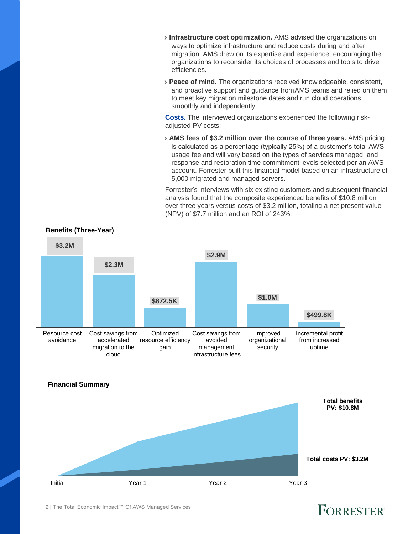- › **Infrastructure cost optimization.** AMS advised the organizations on ways to optimize infrastructure and reduce costs during and after migration. AMS drew on its expertise and experience, encouraging the organizations to reconsider its choices of processes and tools to drive efficiencies.
- › **Peace of mind.** The organizations received knowledgeable, consistent, and proactive support and guidance fromAMS teams and relied on them to meet key migration milestone dates and run cloud operations smoothly and independently.

**Costs.** The interviewed organizations experienced the following riskadjusted PV costs:

› **AMS fees of \$3.2 million over the course of three years.** AMS pricing is calculated as a percentage (typically 25%) of a customer's total AWS usage fee and will vary based on the types of services managed, and response and restoration time commitment levels selected per an AWS account. Forrester built this financial model based on an infrastructure of 5,000 migrated and managed servers.

Forrester's interviews with six existing customers and subsequent financial analysis found that the composite experienced benefits of \$10.8 million over three years versus costs of \$3.2 million, totaling a net present value (NPV) of \$7.7 million and an ROI of 243%.



**Benefits (Three-Year)**

## **FORRESTER**

2 | The Total Economic Impact™ Of AWS Managed Services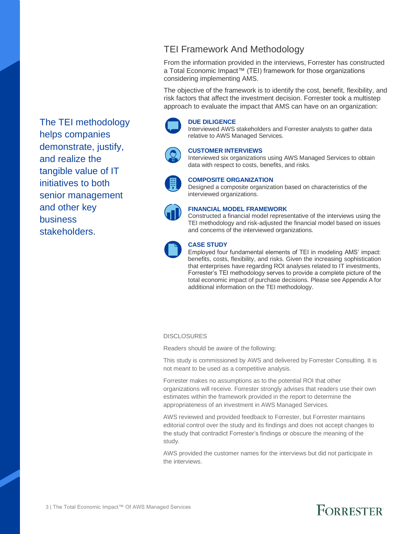<span id="page-5-0"></span>The TEI methodology helps companies demonstrate, justify, and realize the tangible value of IT initiatives to both senior management and other key business stakeholders.

## TEI Framework And Methodology

From the information provided in the interviews, Forrester has constructed a Total Economic Impact™ (TEI) framework for those organizations considering implementing AMS.

The objective of the framework is to identify the cost, benefit, flexibility, and risk factors that affect the investment decision. Forrester took a multistep approach to evaluate the impact that AMS can have on an organization:



#### **DUE DILIGENCE**

Interviewed AWS stakeholders and Forrester analysts to gather data relative to AWS Managed Services.



#### **CUSTOMER INTERVIEWS**

**COMPOSITE ORGANIZATION**

interviewed organizations.

Interviewed six organizations using AWS Managed Services to obtain data with respect to costs, benefits, and risks.

Designed a composite organization based on characteristics of the



#### **FINANCIAL MODEL FRAMEWORK**

Constructed a financial model representative of the interviews using the TEI methodology and risk-adjusted the financial model based on issues and concerns of the interviewed organizations.



#### **CASE STUDY**

Employed four fundamental elements of TEI in modeling AMS' impact: benefits, costs, flexibility, and risks. Given the increasing sophistication that enterprises have regarding ROI analyses related to IT investments, Forrester's TEI methodology serves to provide a complete picture of the total economic impact of purchase decisions. Please see Appendix A for additional information on the TEI methodology.

#### **DISCLOSURES**

Readers should be aware of the following:

This study is commissioned by AWS and delivered by Forrester Consulting. It is not meant to be used as a competitive analysis.

Forrester makes no assumptions as to the potential ROI that other organizations will receive. Forrester strongly advises that readers use their own estimates within the framework provided in the report to determine the appropriateness of an investment in AWS Managed Services.

AWS reviewed and provided feedback to Forrester, but Forrester maintains editorial control over the study and its findings and does not accept changes to the study that contradict Forrester's findings or obscure the meaning of the study.

AWS provided the customer names for the interviews but did not participate in the interviews.

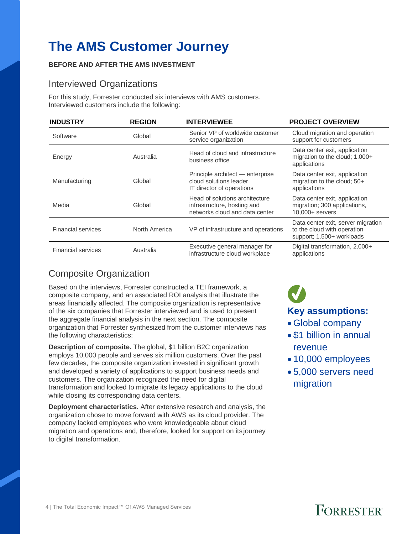# <span id="page-6-0"></span>**The AMS Customer Journey**

#### **BEFORE AND AFTER THE AMS INVESTMENT**

#### <span id="page-6-1"></span>Interviewed Organizations

For this study, Forrester conducted six interviews with AMS customers. Interviewed customers include the following:

| <b>INDUSTRY</b>           | <b>REGION</b> | <b>INTERVIEWEE</b>                                                                              | <b>PROJECT OVERVIEW</b>                                                                        |
|---------------------------|---------------|-------------------------------------------------------------------------------------------------|------------------------------------------------------------------------------------------------|
| Software                  | Global        | Senior VP of worldwide customer<br>service organization                                         | Cloud migration and operation<br>support for customers                                         |
| Energy                    | Australia     | Head of cloud and infrastructure<br>business office                                             | Data center exit, application<br>migration to the cloud; 1,000+<br>applications                |
| Manufacturing             | Global        | Principle architect — enterprise<br>cloud solutions leader<br>IT director of operations         | Data center exit, application<br>migration to the cloud; 50+<br>applications                   |
| Media                     | Global        | Head of solutions architecture<br>infrastructure, hosting and<br>networks cloud and data center | Data center exit, application<br>migration; 300 applications,<br>$10,000+$ servers             |
| <b>Financial services</b> | North America | VP of infrastructure and operations                                                             | Data center exit, server migration<br>to the cloud with operation<br>support; 1,500+ workloads |
| <b>Financial services</b> | Australia     | Executive general manager for<br>infrastructure cloud workplace                                 | Digital transformation, 2,000+<br>applications                                                 |

## <span id="page-6-2"></span>Composite Organization

Based on the interviews, Forrester constructed a TEI framework, a composite company, and an associated ROI analysis that illustrate the areas financially affected. The composite organization is representative of the six companies that Forrester interviewed and is used to present the aggregate financial analysis in the next section. The composite organization that Forrester synthesized from the customer interviews has the following characteristics:

**Description of composite.** The global, \$1 billion B2C organization employs 10,000 people and serves six million customers. Over the past few decades, the composite organization invested in significant growth and developed a variety of applications to support business needs and customers. The organization recognized the need for digital transformation and looked to migrate its legacy applications to the cloud while closing its corresponding data centers.

**Deployment characteristics.** After extensive research and analysis, the organization chose to move forward with AWS as its cloud provider. The company lacked employees who were knowledgeable about cloud migration and operations and, therefore, looked for support on its journey to digital transformation.

# **Key assumptions:**

- Global company
- \$1 billion in annual revenue
- 10,000 employees
- 5,000 servers need migration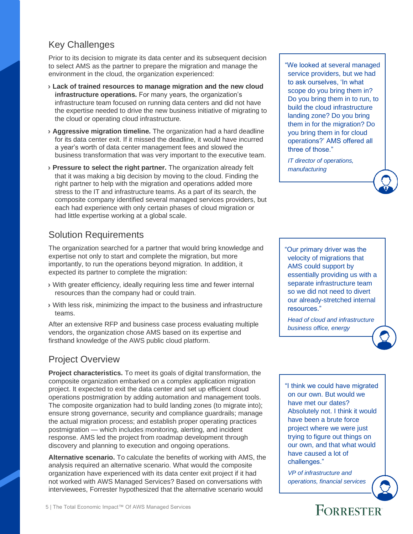## <span id="page-7-0"></span>Key Challenges

Prior to its decision to migrate its data center and its subsequent decision to select AMS as the partner to prepare the migration and manage the environment in the cloud, the organization experienced:

- › **Lack of trained resources to manage migration and the new cloud infrastructure operations.** For many years, the organization's infrastructure team focused on running data centers and did not have the expertise needed to drive the new business initiative of migrating to the cloud or operating cloud infrastructure.
- › **Aggressive migration timeline.** The organization had a hard deadline for its data center exit. If it missed the deadline, it would have incurred a year's worth of data center management fees and slowed the business transformation that was very important to the executive team.
- › **Pressure to select the right partner.** The organization already felt that it was making a big decision by moving to the cloud. Finding the right partner to help with the migration and operations added more stress to the IT and infrastructure teams. As a part of its search, the composite company identified several managed services providers, but each had experience with only certain phases of cloud migration or had little expertise working at a global scale.

## <span id="page-7-1"></span>Solution Requirements

The organization searched for a partner that would bring knowledge and expertise not only to start and complete the migration, but more importantly, to run the operations beyond migration. In addition, it expected its partner to complete the migration:

- › With greater efficiency, ideally requiring less time and fewer internal resources than the company had or could train.
- › With less risk, minimizing the impact to the business and infrastructure teams.

After an extensive RFP and business case process evaluating multiple vendors, the organization chose AMS based on its expertise and firsthand knowledge of the AWS public cloud platform.

## <span id="page-7-2"></span>Project Overview

**Project characteristics.** To meet its goals of digital transformation, the composite organization embarked on a complex application migration project. It expected to exit the data center and set up efficient cloud operations postmigration by adding automation and management tools. The composite organization had to build landing zones (to migrate into); ensure strong governance, security and compliance guardrails; manage the actual migration process; and establish proper operating practices postmigration — which includes monitoring, alerting, and incident response. AMS led the project from roadmap development through discovery and planning to execution and ongoing operations.

**Alternative scenario.** To calculate the benefits of working with AMS, the analysis required an alternative scenario. What would the composite organization have experienced with its data center exit project if it had not worked with AWS Managed Services? Based on conversations with interviewees, Forrester hypothesized that the alternative scenario would

"We looked at several managed service providers, but we had to ask ourselves, 'In what scope do you bring them in? Do you bring them in to run, to build the cloud infrastructure landing zone? Do you bring them in for the migration? Do you bring them in for cloud operations?' AMS offered all three of those."

*IT director of operations, manufacturing*

"Our primary driver was the velocity of migrations that AMS could support by essentially providing us with a separate infrastructure team so we did not need to divert our already-stretched internal resources."

*Head of cloud and infrastructure business office, energy*

"I think we could have migrated on our own. But would we have met our dates? Absolutely not. I think it would have been a brute force project where we were just trying to figure out things on our own, and that what would have caused a lot of challenges."

*VP of infrastructure and operations, financial services*

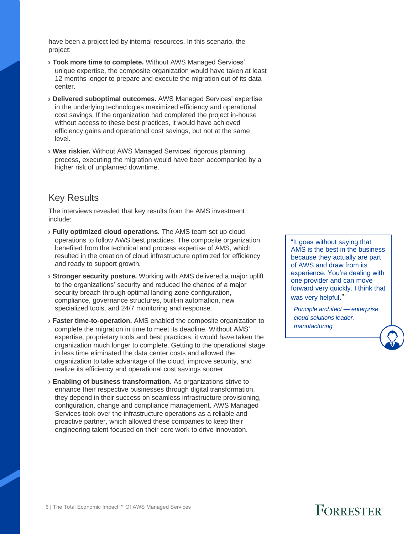have been a project led by internal resources. In this scenario, the project:

- › **Took more time to complete.** Without AWS Managed Services' unique expertise, the composite organization would have taken at least 12 months longer to prepare and execute the migration out of its data center.
- › **Delivered suboptimal outcomes.** AWS Managed Services' expertise in the underlying technologies maximized efficiency and operational cost savings. If the organization had completed the project in-house without access to these best practices, it would have achieved efficiency gains and operational cost savings, but not at the same level.
- › **Was riskier.** Without AWS Managed Services' rigorous planning process, executing the migration would have been accompanied by a higher risk of unplanned downtime.

#### <span id="page-8-0"></span>Key Results

The interviews revealed that key results from the AMS investment include:

- › **Fully optimized cloud operations.** The AMS team set up cloud operations to follow AWS best practices. The composite organization benefited from the technical and process expertise of AMS, which resulted in the creation of cloud infrastructure optimized for efficiency and ready to support growth.
- › **Stronger security posture.** Working with AMS delivered a major uplift to the organizations' security and reduced the chance of a major security breach through optimal landing zone configuration, compliance, governance structures, built-in automation, new specialized tools, and 24/7 monitoring and response.
- › **Faster time-to-operation.** AMS enabled the composite organization to complete the migration in time to meet its deadline. Without AMS' expertise, proprietary tools and best practices, it would have taken the organization much longer to complete. Getting to the operational stage in less time eliminated the data center costs and allowed the organization to take advantage of the cloud, improve security, and realize its efficiency and operational cost savings sooner.
- › **Enabling of business transformation.** As organizations strive to enhance their respective businesses through digital transformation, they depend in their success on seamless infrastructure provisioning, configuration, change and compliance management. AWS Managed Services took over the infrastructure operations as a reliable and proactive partner, which allowed these companies to keep their engineering talent focused on their core work to drive innovation.

"It goes without saying that AMS is the best in the business because they actually are part of AWS and draw from its experience. You're dealing with one provider and can move forward very quickly. I think that was very helpful."

*Principle architect — enterprise cloud solutions leader, manufacturing*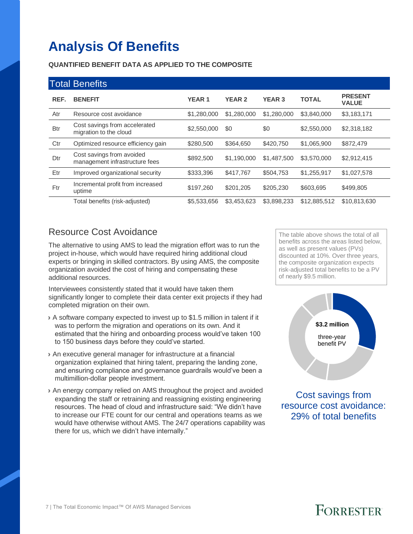# <span id="page-9-0"></span>**Analysis Of Benefits**

**QUANTIFIED BENEFIT DATA AS APPLIED TO THE COMPOSITE**

|            | <b>Total Benefits</b>                                       |              |               |               |              |                                |  |  |  |
|------------|-------------------------------------------------------------|--------------|---------------|---------------|--------------|--------------------------------|--|--|--|
| REF.       | <b>BENEFIT</b>                                              | <b>YEAR1</b> | <b>YEAR 2</b> | <b>YEAR 3</b> | <b>TOTAL</b> | <b>PRESENT</b><br><b>VALUE</b> |  |  |  |
| Atr        | Resource cost avoidance                                     | \$1,280,000  | \$1,280,000   | \$1,280,000   | \$3,840,000  | \$3,183,171                    |  |  |  |
| <b>Btr</b> | Cost savings from accelerated<br>migration to the cloud     | \$2,550,000  | \$0           | \$0           | \$2,550,000  | \$2,318,182                    |  |  |  |
| Ctr        | Optimized resource efficiency gain                          | \$280,500    | \$364,650     | \$420,750     | \$1,065,900  | \$872,479                      |  |  |  |
| Dtr        | Cost savings from avoided<br>management infrastructure fees | \$892,500    | \$1,190,000   | \$1,487,500   | \$3,570,000  | \$2,912,415                    |  |  |  |
| Etr        | Improved organizational security                            | \$333,396    | \$417,767     | \$504,753     | \$1,255,917  | \$1,027,578                    |  |  |  |
| Ftr        | Incremental profit from increased<br>uptime                 | \$197,260    | \$201,205     | \$205,230     | \$603,695    | \$499,805                      |  |  |  |
|            | Total benefits (risk-adjusted)                              | \$5,533,656  | \$3,453,623   | \$3,898,233   | \$12,885,512 | \$10.813.630                   |  |  |  |

## <span id="page-9-1"></span>Resource Cost Avoidance

The alternative to using AMS to lead the migration effort was to run the project in-house, which would have required hiring additional cloud experts or bringing in skilled contractors. By using AMS, the composite organization avoided the cost of hiring and compensating these additional resources.

Interviewees consistently stated that it would have taken them significantly longer to complete their data center exit projects if they had completed migration on their own.

- › A software company expected to invest up to \$1.5 million in talent if it was to perform the migration and operations on its own. And it estimated that the hiring and onboarding process would've taken 100 to 150 business days before they could've started.
- › An executive general manager for infrastructure at a financial organization explained that hiring talent, preparing the landing zone, and ensuring compliance and governance guardrails would've been a multimillion-dollar people investment.
- › An energy company relied on AMS throughout the project and avoided expanding the staff or retraining and reassigning existing engineering resources. The head of cloud and infrastructure said: "We didn't have to increase our FTE count for our central and operations teams as we would have otherwise without AMS. The 24/7 operations capability was there for us, which we didn't have internally."

The table above shows the total of all benefits across the areas listed below, as well as present values (PVs) discounted at 10%. Over three years, the composite organization expects risk-adjusted total benefits to be a PV of nearly \$9.5 million.



Cost savings from resource cost avoidance: 29% of total benefits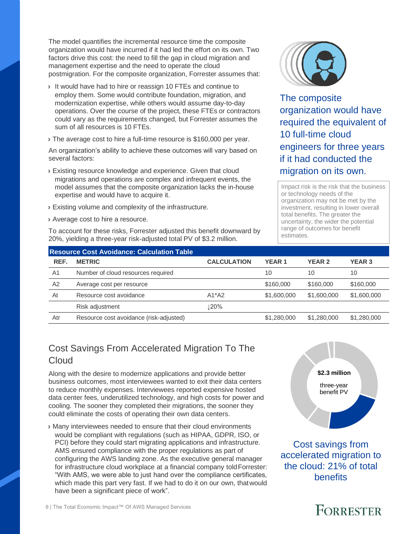The model quantifies the incremental resource time the composite organization would have incurred if it had led the effort on its own. Two factors drive this cost: the need to fill the gap in cloud migration and management expertise and the need to operate the cloud postmigration. For the composite organization, Forrester assumes that:

- › It would have had to hire or reassign 10 FTEs and continue to employ them. Some would contribute foundation, migration, and modernization expertise, while others would assume day-to-day operations. Over the course of the project, these FTEs or contractors could vary as the requirements changed, but Forrester assumes the sum of all resources is 10 FTEs.
- › The average cost to hire a full-time resource is \$160,000 per year.

An organization's ability to achieve these outcomes will vary based on several factors:

- › Existing resource knowledge and experience. Given that cloud migrations and operations are complex and infrequent events, the model assumes that the composite organization lacks the in-house expertise and would have to acquire it.
- › Existing volume and complexity of the infrastructure.
- › Average cost to hire a resource.

To account for these risks, Forrester adjusted this benefit downward by 20%, yielding a three-year risk-adjusted total PV of \$3.2 million.



The composite organization would have required the equivalent of 10 full-time cloud engineers for three years if it had conducted the migration on its own.

Impact risk is the risk that the business or technology needs of the organization may not be met by the investment, resulting in lower overall total benefits. The greater the uncertainty, the wider the potential range of outcomes for benefit estimates.

| <b>Resource Cost Avoidance: Calculation Table</b> |                                         |                    |              |               |               |  |  |
|---------------------------------------------------|-----------------------------------------|--------------------|--------------|---------------|---------------|--|--|
| REF.                                              | <b>METRIC</b>                           | <b>CALCULATION</b> | <b>YEAR1</b> | <b>YEAR 2</b> | <b>YEAR 3</b> |  |  |
| A <sub>1</sub>                                    | Number of cloud resources required      |                    | 10           | 10            | 10            |  |  |
| A2                                                | Average cost per resource               |                    | \$160,000    | \$160,000     | \$160,000     |  |  |
| At                                                | Resource cost avoidance                 | $A1^*A2$           | \$1,600,000  | \$1,600,000   | \$1,600,000   |  |  |
|                                                   | Risk adjustment                         | 120%               |              |               |               |  |  |
| Atr                                               | Resource cost avoidance (risk-adjusted) |                    | \$1,280,000  | \$1,280,000   | \$1,280,000   |  |  |

## <span id="page-10-0"></span>Cost Savings From Accelerated Migration To The **Cloud**

Along with the desire to modernize applications and provide better business outcomes, most interviewees wanted to exit their data centers to reduce monthly expenses. Interviewees reported expensive hosted data center fees, underutilized technology, and high costs for power and cooling. The sooner they completed their migrations, the sooner they could eliminate the costs of operating their own data centers.

› Many interviewees needed to ensure that their cloud environments would be compliant with regulations (such as HIPAA, GDPR, ISO, or PCI) before they could start migrating applications and infrastructure. AMS ensured compliance with the proper regulations as part of configuring the AWS landing zone. As the executive general manager for infrastructure cloud workplace at a financial company toldForrester: "With AMS, we were able to just hand over the compliance certificates, which made this part very fast. If we had to do it on our own, thatwould have been a significant piece of work".



Cost savings from accelerated migration to the cloud: 21% of total benefits

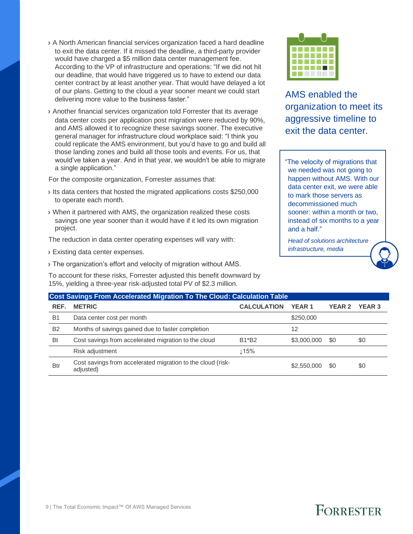- › A North American financial services organization faced a hard deadline to exit the data center. If it missed the deadline, a third-party provider would have charged a \$5 million data center management fee. According to the VP of infrastructure and operations: "If we did not hit our deadline, that would have triggered us to have to extend our data center contract by at least another year. That would have delayed a lot of our plans. Getting to the cloud a year sooner meant we could start delivering more value to the business faster."
- › Another financial services organization told Forrester that its average data center costs per application post migration were reduced by 90%, and AMS allowed it to recognize these savings sooner. The executive general manager for infrastructure cloud workplace said: "I think you could replicate the AMS environment, but you'd have to go and build all those landing zones and build all those tools and events. For us, that would've taken a year. And in that year, we wouldn't be able to migrate a single application."

For the composite organization, Forrester assumes that:

- › Its data centers that hosted the migrated applications costs \$250,000 to operate each month.
- › When it partnered with AMS, the organization realized these costs savings one year sooner than it would have if it led its own migration project.

The reduction in data center operating expenses will vary with:

› Existing data center expenses.

› The organization's effort and velocity of migration without AMS.

To account for these risks, Forrester adjusted this benefit downward by 15%, yielding a three-year risk-adjusted total PV of \$2.3 million.



AMS enabled the organization to meet its aggressive timeline to exit the data center.

"The velocity of migrations that we needed was not going to happen without AMS. With our data center exit, we were able to mark those servers as decommissioned much sooner: within a month or two, instead of six months to a year and a half."

*Head of solutions architecture infrastructure, media*

|                | <b>Cost Savings From Accelerated Migration To The Cloud: Calculation Table</b> |                    |              |               |               |  |  |  |  |
|----------------|--------------------------------------------------------------------------------|--------------------|--------------|---------------|---------------|--|--|--|--|
| REF.           | <b>METRIC</b>                                                                  | <b>CALCULATION</b> | <b>YEAR1</b> | <b>YEAR 2</b> | <b>YEAR 3</b> |  |  |  |  |
| <b>B1</b>      | Data center cost per month                                                     |                    | \$250,000    |               |               |  |  |  |  |
| B <sub>2</sub> | Months of savings gained due to faster completion                              |                    | 12           |               |               |  |  |  |  |
| <b>Bt</b>      | Cost savings from accelerated migration to the cloud                           | B1*B2              | \$3,000,000  | \$0           | \$0           |  |  |  |  |
|                | Risk adjustment                                                                | $\perp$ 15%        |              |               |               |  |  |  |  |
| <b>Btr</b>     | Cost savings from accelerated migration to the cloud (risk-<br>adjusted)       |                    | \$2,550,000  | \$0           | \$0           |  |  |  |  |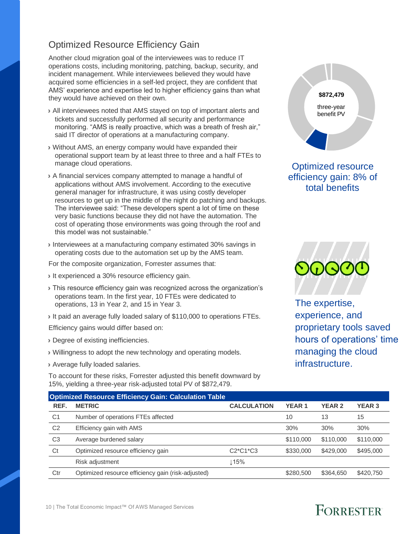## <span id="page-12-0"></span>Optimized Resource Efficiency Gain

Another cloud migration goal of the interviewees was to reduce IT operations costs, including monitoring, patching, backup, security, and incident management. While interviewees believed they would have acquired some efficiencies in a self-led project, they are confident that AMS' experience and expertise led to higher efficiency gains than what they would have achieved on their own.

- › All interviewees noted that AMS stayed on top of important alerts and tickets and successfully performed all security and performance monitoring. "AMS is really proactive, which was a breath of fresh air," said IT director of operations at a manufacturing company.
- › Without AMS, an energy company would have expanded their operational support team by at least three to three and a half FTEs to manage cloud operations.
- › A financial services company attempted to manage a handful of applications without AMS involvement. According to the executive general manager for infrastructure, it was using costly developer resources to get up in the middle of the night do patching and backups. The interviewee said: "These developers spent a lot of time on these very basic functions because they did not have the automation. The cost of operating those environments was going through the roof and this model was not sustainable."
- › Interviewees at a manufacturing company estimated 30% savings in operating costs due to the automation set up by the AMS team.

For the composite organization, Forrester assumes that:

- › It experienced a 30% resource efficiency gain.
- › This resource efficiency gain was recognized across the organization's operations team. In the first year, 10 FTEs were dedicated to operations, 13 in Year 2, and 15 in Year 3.
- › It paid an average fully loaded salary of \$110,000 to operations FTEs.

Efficiency gains would differ based on:

- › Degree of existing inefficiencies.
- › Willingness to adopt the new technology and operating models.
- › Average fully loaded salaries.

To account for these risks, Forrester adjusted this benefit downward by 15%, yielding a three-year risk-adjusted total PV of \$872,479.



## Optimized resource efficiency gain: 8% of total benefits



The expertise, experience, and proprietary tools saved hours of operations' time managing the cloud infrastructure.

|                | <b>Optimized Resource Efficiency Gain: Calculation Table</b> |                    |              |               |               |
|----------------|--------------------------------------------------------------|--------------------|--------------|---------------|---------------|
| REF.           | <b>METRIC</b>                                                | <b>CALCULATION</b> | <b>YEAR1</b> | <b>YEAR 2</b> | <b>YEAR 3</b> |
| C <sub>1</sub> | Number of operations FTEs affected                           |                    | 10           | 13            | 15            |
| C <sub>2</sub> | Efficiency gain with AMS                                     |                    | 30%          | 30%           | 30%           |
| C <sub>3</sub> | Average burdened salary                                      |                    | \$110,000    | \$110,000     | \$110,000     |
| Ct             | Optimized resource efficiency gain                           | $C2*C1*C3$         | \$330,000    | \$429,000     | \$495,000     |
|                | Risk adjustment                                              | $\perp$ 15%        |              |               |               |
| Ctr            | Optimized resource efficiency gain (risk-adjusted)           |                    | \$280,500    | \$364,650     | \$420,750     |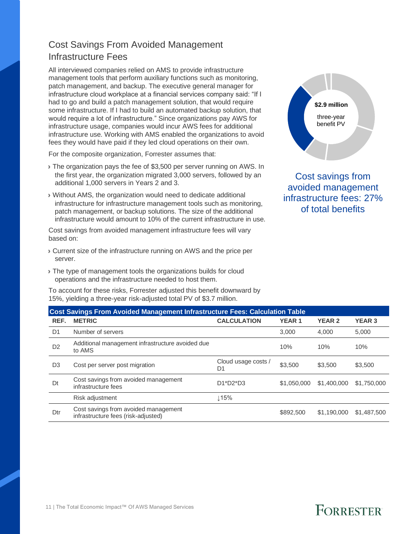## <span id="page-13-0"></span>Cost Savings From Avoided Management Infrastructure Fees

All interviewed companies relied on AMS to provide infrastructure management tools that perform auxiliary functions such as monitoring, patch management, and backup. The executive general manager for infrastructure cloud workplace at a financial services company said: "If I had to go and build a patch management solution, that would require some infrastructure. If I had to build an automated backup solution, that would require a lot of infrastructure." Since organizations pay AWS for infrastructure usage, companies would incur AWS fees for additional infrastructure use. Working with AMS enabled the organizations to avoid fees they would have paid if they led cloud operations on their own.

For the composite organization, Forrester assumes that:

- › The organization pays the fee of \$3,500 per server running on AWS. In the first year, the organization migrated 3,000 servers, followed by an additional 1,000 servers in Years 2 and 3.
- › Without AMS, the organization would need to dedicate additional infrastructure for infrastructure management tools such as monitoring, patch management, or backup solutions. The size of the additional infrastructure would amount to 10% of the current infrastructure in use.

Cost savings from avoided management infrastructure fees will vary based on:

- › Current size of the infrastructure running on AWS and the price per server.
- › The type of management tools the organizations builds for cloud operations and the infrastructure needed to host them.

To account for these risks, Forrester adjusted this benefit downward by 15%, yielding a three-year risk-adjusted total PV of \$3.7 million.



Cost savings from avoided management infrastructure fees: 27% of total benefits

**FORRESTER** 

|                | <b>Cost Savings From Avoided Management Infrastructure Fees: Calculation Table</b> |                           |               |               |               |  |  |  |  |
|----------------|------------------------------------------------------------------------------------|---------------------------|---------------|---------------|---------------|--|--|--|--|
| REF.           | <b>METRIC</b>                                                                      | <b>CALCULATION</b>        | <b>YEAR 1</b> | <b>YEAR 2</b> | <b>YEAR 3</b> |  |  |  |  |
| D <sub>1</sub> | Number of servers                                                                  |                           | 3.000         | 4.000         | 5,000         |  |  |  |  |
| D <sub>2</sub> | Additional management infrastructure avoided due<br>to AMS                         |                           | 10%           | 10%           | 10%           |  |  |  |  |
| D <sub>3</sub> | Cost per server post migration                                                     | Cloud usage costs /<br>D1 | \$3,500       | \$3.500       | \$3,500       |  |  |  |  |
| Dt             | Cost savings from avoided management<br>infrastructure fees                        | $D1^*D2^*D3$              | \$1,050,000   | \$1,400,000   | \$1,750,000   |  |  |  |  |
|                | Risk adjustment                                                                    | $\downarrow$ 15%          |               |               |               |  |  |  |  |
| Dtr            | Cost savings from avoided management<br>infrastructure fees (risk-adjusted)        |                           | \$892,500     | \$1,190,000   | \$1,487,500   |  |  |  |  |

11 | The Total Economic Impact™ Of AWS Managed Services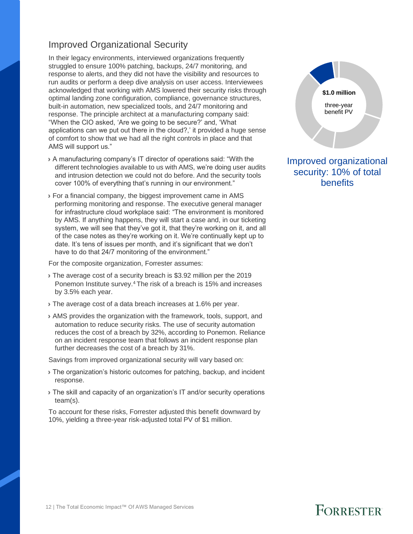#### <span id="page-14-0"></span>Improved Organizational Security

In their legacy environments, interviewed organizations frequently struggled to ensure 100% patching, backups, 24/7 monitoring, and response to alerts, and they did not have the visibility and resources to run audits or perform a deep dive analysis on user access. Interviewees acknowledged that working with AMS lowered their security risks through optimal landing zone configuration, compliance, governance structures, built-in automation, new specialized tools, and 24/7 monitoring and response. The principle architect at a manufacturing company said: "When the CIO asked, 'Are we going to be secure?' and, 'What applications can we put out there in the cloud?,' it provided a huge sense of comfort to show that we had all the right controls in place and that AMS will support us."

- › A manufacturing company's IT director of operations said: "With the different technologies available to us with AMS, we're doing user audits and intrusion detection we could not do before. And the security tools cover 100% of everything that's running in our environment."
- › For a financial company, the biggest improvement came in AMS performing monitoring and response. The executive general manager for infrastructure cloud workplace said: "The environment is monitored by AMS. If anything happens, they will start a case and, in our ticketing system, we will see that they've got it, that they're working on it, and all of the case notes as they're working on it. We're continually kept up to date. It's tens of issues per month, and it's significant that we don't have to do that 24/7 monitoring of the environment."

For the composite organization, Forrester assumes:

- › The average cost of a security breach is \$3.92 million per the 2019 Ponemon Institute survey.<sup>4</sup>The risk of a breach is 15% and increases by 3.5% each year.
- › The average cost of a data breach increases at 1.6% per year.
- › AMS provides the organization with the framework, tools, support, and automation to reduce security risks. The use of security automation reduces the cost of a breach by 32%, according to Ponemon. Reliance on an incident response team that follows an incident response plan further decreases the cost of a breach by 31%.

Savings from improved organizational security will vary based on:

- › The organization's historic outcomes for patching, backup, and incident response.
- › The skill and capacity of an organization's IT and/or security operations team(s).

To account for these risks, Forrester adjusted this benefit downward by 10%, yielding a three-year risk-adjusted total PV of \$1 million.



Improved organizational security: 10% of total benefits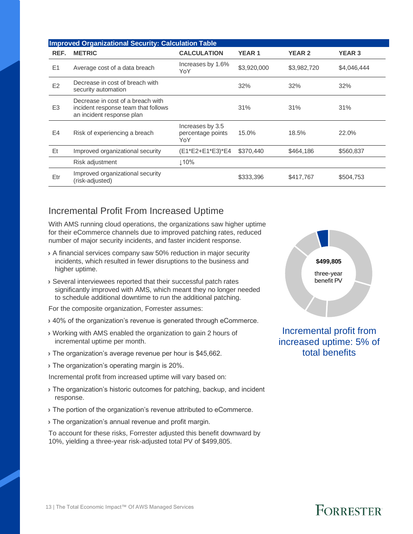| <b>Improved Organizational Security: Calculation Table</b> |                                                                                                       |                                              |              |               |               |  |  |  |
|------------------------------------------------------------|-------------------------------------------------------------------------------------------------------|----------------------------------------------|--------------|---------------|---------------|--|--|--|
| REF.                                                       | <b>METRIC</b>                                                                                         | <b>CALCULATION</b>                           | <b>YEAR1</b> | <b>YEAR 2</b> | <b>YEAR 3</b> |  |  |  |
| E1                                                         | Average cost of a data breach                                                                         | Increases by 1.6%<br>YoY                     | \$3,920,000  | \$3,982,720   | \$4,046,444   |  |  |  |
| E <sub>2</sub>                                             | Decrease in cost of breach with<br>security automation                                                |                                              | 32%          | 32%           | 32%           |  |  |  |
| E <sub>3</sub>                                             | Decrease in cost of a breach with<br>incident response team that follows<br>an incident response plan |                                              | 31%          | 31%           | 31%           |  |  |  |
| E4                                                         | Risk of experiencing a breach                                                                         | Increases by 3.5<br>percentage points<br>YoY | 15.0%        | 18.5%         | 22.0%         |  |  |  |
| Et                                                         | Improved organizational security                                                                      | (E1*E2+E1*E3)*E4                             | \$370,440    | \$464,186     | \$560,837     |  |  |  |
|                                                            | Risk adjustment                                                                                       | 110%                                         |              |               |               |  |  |  |
| Etr                                                        | Improved organizational security<br>(risk-adjusted)                                                   |                                              | \$333,396    | \$417,767     | \$504,753     |  |  |  |

## <span id="page-15-0"></span>Incremental Profit From Increased Uptime

With AMS running cloud operations, the organizations saw higher uptime for their eCommerce channels due to improved patching rates, reduced number of major security incidents, and faster incident response.

- › A financial services company saw 50% reduction in major security incidents, which resulted in fewer disruptions to the business and higher uptime.
- › Several interviewees reported that their successful patch rates significantly improved with AMS, which meant they no longer needed to schedule additional downtime to run the additional patching.

For the composite organization, Forrester assumes:

- › 40% of the organization's revenue is generated through eCommerce.
- › Working with AMS enabled the organization to gain 2 hours of incremental uptime per month.
- › The organization's average revenue per hour is \$45,662.
- › The organization's operating margin is 20%.
- Incremental profit from increased uptime will vary based on:
- › The organization's historic outcomes for patching, backup, and incident response.
- › The portion of the organization's revenue attributed to eCommerce.
- › The organization's annual revenue and profit margin.

To account for these risks, Forrester adjusted this benefit downward by 10%, yielding a three-year risk-adjusted total PV of \$499,805.



Incremental profit from increased uptime: 5% of total benefits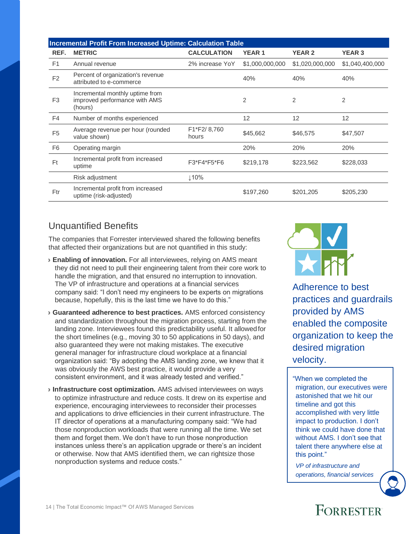| <b>Incremental Profit From Increased Uptime: Calculation Table</b> |                                                                             |                      |                 |                 |                 |  |  |
|--------------------------------------------------------------------|-----------------------------------------------------------------------------|----------------------|-----------------|-----------------|-----------------|--|--|
| REF.                                                               | <b>METRIC</b>                                                               | <b>CALCULATION</b>   | <b>YEAR 1</b>   | <b>YEAR 2</b>   | <b>YEAR 3</b>   |  |  |
| F <sub>1</sub>                                                     | Annual revenue                                                              | 2% increase YoY      | \$1,000,000,000 | \$1,020,000,000 | \$1,040,400,000 |  |  |
| F <sub>2</sub>                                                     | Percent of organization's revenue<br>attributed to e-commerce               |                      | 40%             | 40%             | 40%             |  |  |
| F <sub>3</sub>                                                     | Incremental monthly uptime from<br>improved performance with AMS<br>(hours) |                      | $\mathcal{P}$   | 2               | 2               |  |  |
| F <sub>4</sub>                                                     | Number of months experienced                                                |                      | 12              | 12              | 12              |  |  |
| F <sub>5</sub>                                                     | Average revenue per hour (rounded<br>value shown)                           | F1*F2/8,760<br>hours | \$45,662        | \$46,575        | \$47,507        |  |  |
| F <sub>6</sub>                                                     | Operating margin                                                            |                      | 20%             | 20%             | 20%             |  |  |
| Ft                                                                 | Incremental profit from increased<br>uptime                                 | F3*F4*F5*F6          | \$219,178       | \$223,562       | \$228,033       |  |  |
|                                                                    | Risk adjustment                                                             | ⊥10%                 |                 |                 |                 |  |  |
| Ftr                                                                | Incremental profit from increased<br>uptime (risk-adjusted)                 |                      | \$197,260       | \$201,205       | \$205,230       |  |  |

## <span id="page-16-0"></span>Unquantified Benefits

The companies that Forrester interviewed shared the following benefits that affected their organizations but are not quantified in this study:

- › **Enabling of innovation.** For all interviewees, relying on AMS meant they did not need to pull their engineering talent from their core work to handle the migration, and that ensured no interruption to innovation. The VP of infrastructure and operations at a financial services company said: "I don't need my engineers to be experts on migrations because, hopefully, this is the last time we have to do this."
- › **Guaranteed adherence to best practices.** AMS enforced consistency and standardization throughout the migration process, starting from the landing zone. Interviewees found this predictability useful. It allowedfor the short timelines (e.g., moving 30 to 50 applications in 50 days), and also guaranteed they were not making mistakes. The executive general manager for infrastructure cloud workplace at a financial organization said: "By adopting the AMS landing zone, we knew that it was obviously the AWS best practice, it would provide a very consistent environment, and it was already tested and verified."
- › **Infrastructure cost optimization.** AMS advised interviewees on ways to optimize infrastructure and reduce costs. It drew on its expertise and experience, encouraging interviewees to reconsider their processes and applications to drive efficiencies in their current infrastructure. The IT director of operations at a manufacturing company said: "We had those nonproduction workloads that were running all the time. We set them and forget them. We don't have to run those nonproduction instances unless there's an application upgrade or there's an incident or otherwise. Now that AMS identified them, we can rightsize those nonproduction systems and reduce costs."



Adherence to best practices and guardrails provided by AMS enabled the composite organization to keep the desired migration velocity.

"When we completed the migration, our executives were astonished that we hit our timeline and got this accomplished with very little impact to production. I don't think we could have done that without AMS. I don't see that talent there anywhere else at this point."

*VP of infrastructure and operations, financial services*

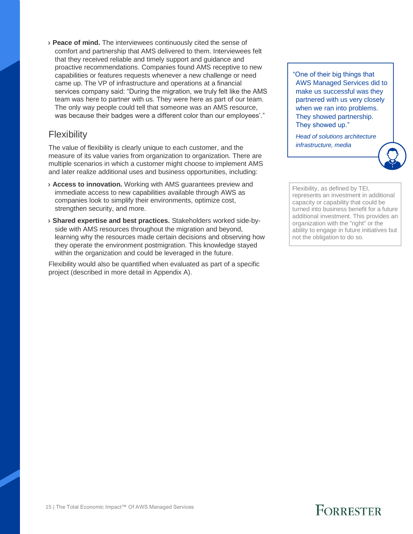› **Peace of mind.** The interviewees continuously cited the sense of comfort and partnership that AMS delivered to them. Interviewees felt that they received reliable and timely support and guidance and proactive recommendations. Companies found AMS receptive to new capabilities or features requests whenever a new challenge or need came up. The VP of infrastructure and operations at a financial services company said: "During the migration, we truly felt like the AMS team was here to partner with us. They were here as part of our team. The only way people could tell that someone was an AMS resource, was because their badges were a different color than our employees'."

#### <span id="page-17-0"></span>**Flexibility**

The value of flexibility is clearly unique to each customer, and the measure of its value varies from organization to organization. There are multiple scenarios in which a customer might choose to implement AMS and later realize additional uses and business opportunities, including:

- › **Access to innovation.** Working with AMS guarantees preview and immediate access to new capabilities available through AWS as companies look to simplify their environments, optimize cost, strengthen security, and more.
- › **Shared expertise and best practices.** Stakeholders worked side-byside with AMS resources throughout the migration and beyond, learning why the resources made certain decisions and observing how they operate the environment postmigration. This knowledge stayed within the organization and could be leveraged in the future.

Flexibility would also be quantified when evaluated as part of a specific project (described in more detail in Appendix A).

"One of their big things that AWS Managed Services did to make us successful was they partnered with us very closely when we ran into problems. They showed partnership. They showed up."

*Head of solutions architecture infrastructure, media*

Flexibility, as defined by TEI, represents an investment in additional capacity or capability that could be turned into business benefit for a future additional investment. This provides an organization with the "right" or the ability to engage in future initiatives but not the obligation to do so.



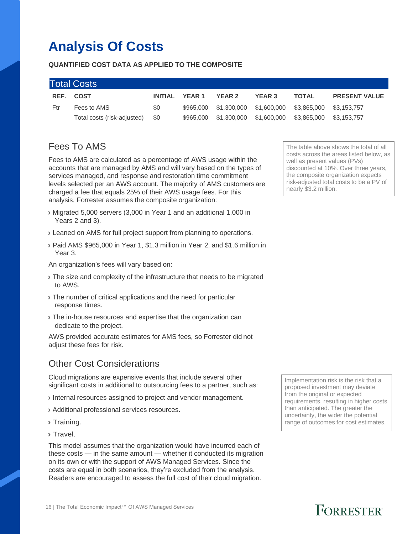# <span id="page-18-0"></span>**Analysis Of Costs**

#### **QUANTIFIED COST DATA AS APPLIED TO THE COMPOSITE**

|     | <b>Total Costs</b>          |                |           |               |                                     |              |                      |
|-----|-----------------------------|----------------|-----------|---------------|-------------------------------------|--------------|----------------------|
|     | REF. COST                   | <b>INITIAL</b> | YFAR 1    | <b>YEAR 2</b> | <b>YEAR 3</b>                       | <b>TOTAL</b> | <b>PRESENT VALUE</b> |
| Ftr | Fees to AMS                 | \$0            | \$965,000 |               | \$1,300,000 \$1,600,000 \$3,865,000 |              | \$3.153.757          |
|     | Total costs (risk-adjusted) | \$0            | \$965,000 | \$1,300,000   | \$1,600,000 \$3,865,000             |              | \$3,153,757          |

## <span id="page-18-1"></span>Fees To AMS

Fees to AMS are calculated as a percentage of AWS usage within the accounts that are managed by AMS and will vary based on the types of services managed, and response and restoration time commitment levels selected per an AWS account. The majority of AMS customers are charged a fee that equals 25% of their AWS usage fees. For this analysis, Forrester assumes the composite organization:

- › Migrated 5,000 servers (3,000 in Year 1 and an additional 1,000 in Years 2 and 3).
- › Leaned on AMS for full project support from planning to operations.
- › Paid AMS \$965,000 in Year 1, \$1.3 million in Year 2, and \$1.6 million in Year 3.

An organization's fees will vary based on:

- › The size and complexity of the infrastructure that needs to be migrated to AWS.
- › The number of critical applications and the need for particular response times.
- › The in-house resources and expertise that the organization can dedicate to the project.

AWS provided accurate estimates for AMS fees, so Forrester did not adjust these fees for risk.

## <span id="page-18-2"></span>Other Cost Considerations

Cloud migrations are expensive events that include several other significant costs in additional to outsourcing fees to a partner, such as:

- › Internal resources assigned to project and vendor management.
- › Additional professional services resources.
- › Training.
- › Travel.

This model assumes that the organization would have incurred each of these costs — in the same amount — whether it conducted its migration on its own or with the support of AWS Managed Services. Since the costs are equal in both scenarios, they're excluded from the analysis. Readers are encouraged to assess the full cost of their cloud migration.

The table above shows the total of all costs across the areas listed below, as well as present values (PVs) discounted at 10%. Over three years, the composite organization expects risk-adjusted total costs to be a PV of nearly \$3.2 million.

Implementation risk is the risk that a proposed investment may deviate from the original or expected requirements, resulting in higher costs than anticipated. The greater the uncertainty, the wider the potential range of outcomes for cost estimates.

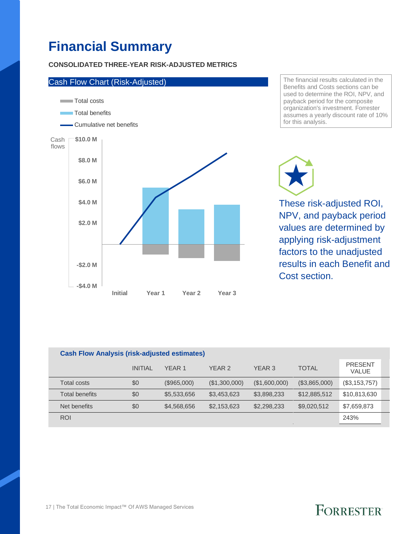# <span id="page-19-0"></span>**Financial Summary**

#### **CONSOLIDATED THREE-YEAR RISK-ADJUSTED METRICS**



The financial results calculated in the Benefits and Costs sections can be used to determine the ROI, NPV, and payback period for the composite organization's investment. Forrester assumes a yearly discount rate of 10% for this analysis.

These risk-adjusted ROI, NPV, and payback period values are determined by applying risk-adjustment factors to the unadjusted results in each Benefit and Cost section.

| <b>Cash Flow Analysis (risk-adjusted estimates)</b> |                |             |                   |               |               |                                |  |  |
|-----------------------------------------------------|----------------|-------------|-------------------|---------------|---------------|--------------------------------|--|--|
|                                                     | <b>INITIAL</b> | YFAR 1      | YFAR <sub>2</sub> | YEAR 3        | <b>TOTAL</b>  | <b>PRESENT</b><br><b>VALUE</b> |  |  |
| <b>Total costs</b>                                  | \$0            | (\$965,000) | (\$1,300,000)     | (\$1,600,000) | (\$3,865,000) | (\$3,153,757)                  |  |  |
| Total benefits                                      | \$0            | \$5,533,656 | \$3,453,623       | \$3,898,233   | \$12,885,512  | \$10,813,630                   |  |  |
| Net benefits                                        | \$0            | \$4,568,656 | \$2,153,623       | \$2,298,233   | \$9,020,512   | \$7,659,873                    |  |  |
| <b>ROI</b>                                          |                |             |                   |               |               | 243%                           |  |  |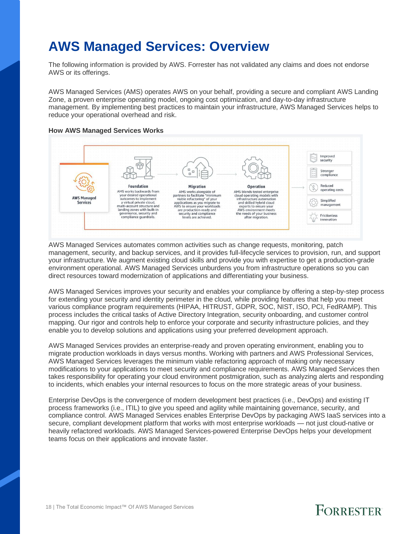## <span id="page-20-0"></span>**AWS Managed Services: Overview**

The following information is provided by AWS. Forrester has not validated any claims and does not endorse AWS or its offerings.

AWS Managed Services (AMS) operates AWS on your behalf, providing a secure and compliant AWS Landing Zone, a proven enterprise operating model, ongoing cost optimization, and day-to-day infrastructure management. By implementing best practices to maintain your infrastructure, AWS Managed Services helps to reduce your operational overhead and risk.

#### **How AWS Managed Services Works**



AWS Managed Services automates common activities such as change requests, monitoring, patch management, security, and backup services, and it provides full-lifecycle services to provision, run, and support your infrastructure. We augment existing cloud skills and provide you with expertise to get a production-grade environment operational. AWS Managed Services unburdens you from infrastructure operations so you can direct resources toward modernization of applications and differentiating your business.

AWS Managed Services improves your security and enables your compliance by offering a step-by-step process for extending your security and identity perimeter in the cloud, while providing features that help you meet various compliance program requirements (HIPAA, HITRUST, GDPR, SOC, NIST, ISO, PCI, FedRAMP). This process includes the critical tasks of Active Directory Integration, security onboarding, and customer control mapping. Our rigor and controls help to enforce your corporate and security infrastructure policies, and they enable you to develop solutions and applications using your preferred development approach.

AWS Managed Services provides an enterprise-ready and proven operating environment, enabling you to migrate production workloads in days versus months. Working with partners and AWS Professional Services, AWS Managed Services leverages the minimum viable refactoring approach of making only necessary modifications to your applications to meet security and compliance requirements. AWS Managed Services then takes responsibility for operating your cloud environment postmigration, such as analyzing alerts and responding to incidents, which enables your internal resources to focus on the more strategic areas of your business.

Enterprise DevOps is the convergence of modern development best practices (i.e., DevOps) and existing IT process frameworks (i.e., ITIL) to give you speed and agility while maintaining governance, security, and compliance control. AWS Managed Services enables Enterprise DevOps by packaging AWS IaaS services into a secure, compliant development platform that works with most enterprise workloads — not just cloud-native or heavily refactored workloads. AWS Managed Services-powered Enterprise DevOps helps your development teams focus on their applications and innovate faster.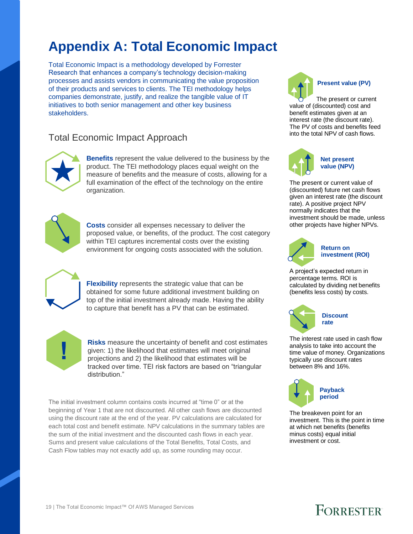# <span id="page-21-0"></span>**Appendix A: Total Economic Impact**

Total Economic Impact is a methodology developed by Forrester Research that enhances a company's technology decision-making processes and assists vendors in communicating the value proposition of their products and services to clients. The TEI methodology helps companies demonstrate, justify, and realize the tangible value of IT initiatives to both senior management and other key business stakeholders.

#### Total Economic Impact Approach



**Benefits** represent the value delivered to the business by the product. The TEI methodology places equal weight on the measure of benefits and the measure of costs, allowing for a full examination of the effect of the technology on the entire organization.



**Costs** consider all expenses necessary to deliver the proposed value, or benefits, of the product. The cost category within TEI captures incremental costs over the existing environment for ongoing costs associated with the solution.



**Flexibility** represents the strategic value that can be obtained for some future additional investment building on top of the initial investment already made. Having the ability to capture that benefit has a PV that can be estimated.



**Risks** measure the uncertainty of benefit and cost estimates given: 1) the likelihood that estimates will meet original projections and 2) the likelihood that estimates will be tracked over time. TEI risk factors are based on "triangular distribution."

The initial investment column contains costs incurred at "time 0" or at the beginning of Year 1 that are not discounted. All other cash flows are discounted using the discount rate at the end of the year. PV calculations are calculated for each total cost and benefit estimate. NPV calculations in the summary tables are the sum of the initial investment and the discounted cash flows in each year. Sums and present value calculations of the Total Benefits, Total Costs, and Cash Flow tables may not exactly add up, as some rounding may occur.



The present or current value of (discounted) cost and benefit estimates given at an interest rate (the discount rate). The PV of costs and benefits feed into the total NPV of cash flows.



**Net present value (NPV)**

The present or current value of (discounted) future net cash flows given an interest rate (the discount rate). A positive project NPV normally indicates that the investment should be made, unless other projects have higher NPVs.



**Return on investment (ROI)**

A project's expected return in percentage terms. ROI is calculated by dividing net benefits (benefits less costs) by costs.



The interest rate used in cash flow analysis to take into account the time value of money. Organizations typically use discount rates between 8% and 16%.



The breakeven point for an investment. This is the point in time at which net benefits (benefits minus costs) equal initial investment or cost.